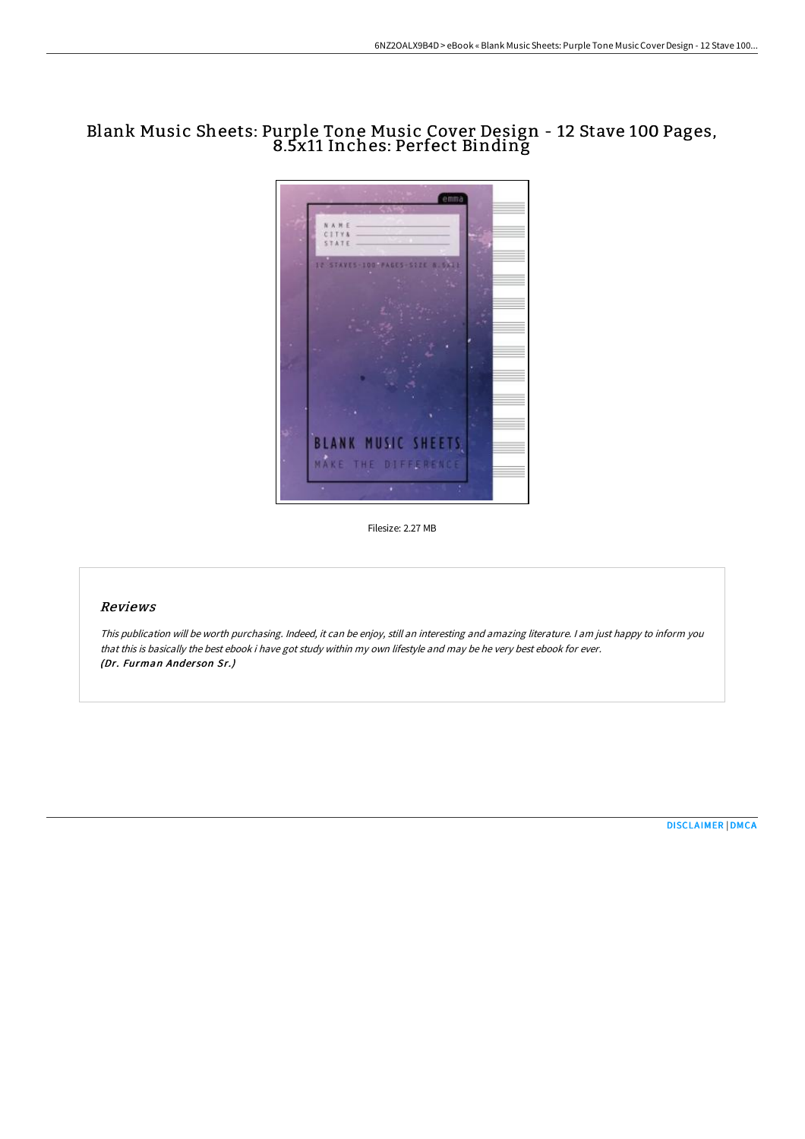## Blank Music Sheets: Purple Tone Music Cover Design - 12 Stave 100 Pages, 8.5x11 Inches: Perfect Binding



Filesize: 2.27 MB

## Reviews

This publication will be worth purchasing. Indeed, it can be enjoy, still an interesting and amazing literature. <sup>I</sup> am just happy to inform you that this is basically the best ebook i have got study within my own lifestyle and may be he very best ebook for ever. (Dr. Furman Anderson Sr.)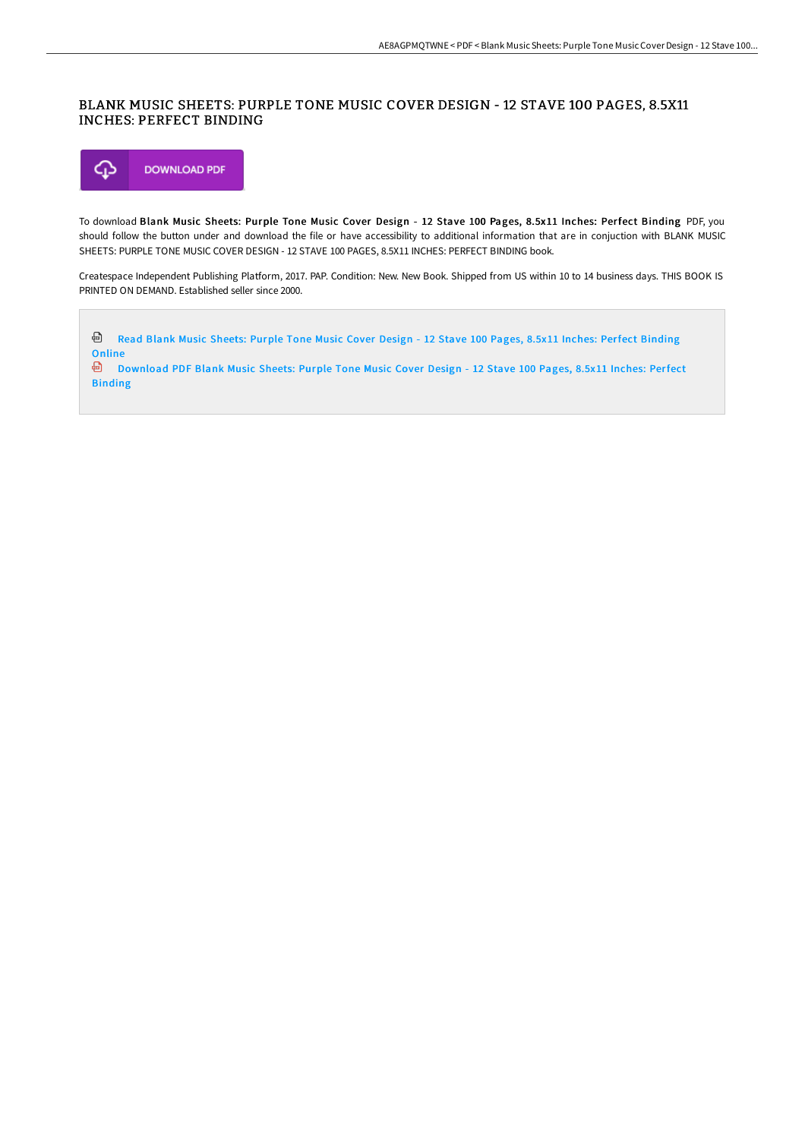## BLANK MUSIC SHEETS: PURPLE TONE MUSIC COVER DESIGN - 12 STAVE 100 PAGES, 8.5X11 INCHES: PERFECT BINDING



To download Blank Music Sheets: Purple Tone Music Cover Design - 12 Stave 100 Pages, 8.5x11 Inches: Perfect Binding PDF, you should follow the button under and download the file or have accessibility to additional information that are in conjuction with BLANK MUSIC SHEETS: PURPLE TONE MUSIC COVER DESIGN - 12 STAVE 100 PAGES, 8.5X11 INCHES: PERFECT BINDING book.

Createspace Independent Publishing Platform, 2017. PAP. Condition: New. New Book. Shipped from US within 10 to 14 business days. THIS BOOK IS PRINTED ON DEMAND. Established seller since 2000.

Read Blank Music Sheets: Purple Tone Music Cover Design - 12 Stave 100 Pages, 8.5x11 Inches: Perfect [Binding](http://techno-pub.tech/blank-music-sheets-purple-tone-music-cover-desig.html) **Online** [Download](http://techno-pub.tech/blank-music-sheets-purple-tone-music-cover-desig.html) PDF Blank Music Sheets: Purple Tone Music Cover Design - 12 Stave 100 Pages, 8.5x11 Inches: Perfect Binding